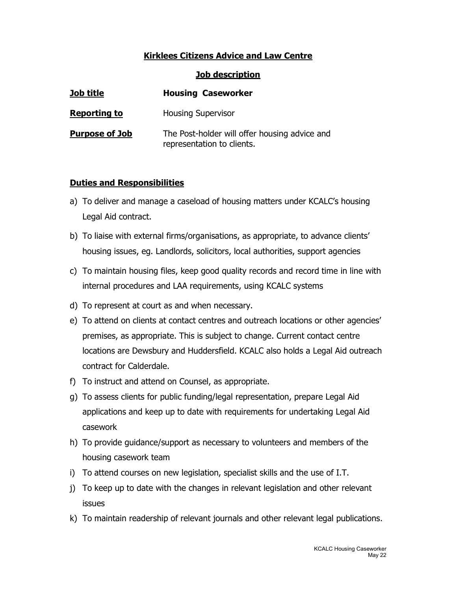## Kirklees Citizens Advice and Law Centre

Job description

| Job title             | <b>Housing Caseworker</b>                                                   |
|-----------------------|-----------------------------------------------------------------------------|
| <b>Reporting to</b>   | <b>Housing Supervisor</b>                                                   |
| <b>Purpose of Job</b> | The Post-holder will offer housing advice and<br>representation to clients. |

## Duties and Responsibilities

- a) To deliver and manage a caseload of housing matters under KCALC's housing Legal Aid contract.
- b) To liaise with external firms/organisations, as appropriate, to advance clients' housing issues, eg. Landlords, solicitors, local authorities, support agencies
- c) To maintain housing files, keep good quality records and record time in line with internal procedures and LAA requirements, using KCALC systems
- d) To represent at court as and when necessary.
- e) To attend on clients at contact centres and outreach locations or other agencies' premises, as appropriate. This is subject to change. Current contact centre locations are Dewsbury and Huddersfield. KCALC also holds a Legal Aid outreach contract for Calderdale.
- f) To instruct and attend on Counsel, as appropriate.
- g) To assess clients for public funding/legal representation, prepare Legal Aid applications and keep up to date with requirements for undertaking Legal Aid casework
- h) To provide guidance/support as necessary to volunteers and members of the housing casework team
- i) To attend courses on new legislation, specialist skills and the use of I.T.
- j) To keep up to date with the changes in relevant legislation and other relevant issues
- k) To maintain readership of relevant journals and other relevant legal publications.